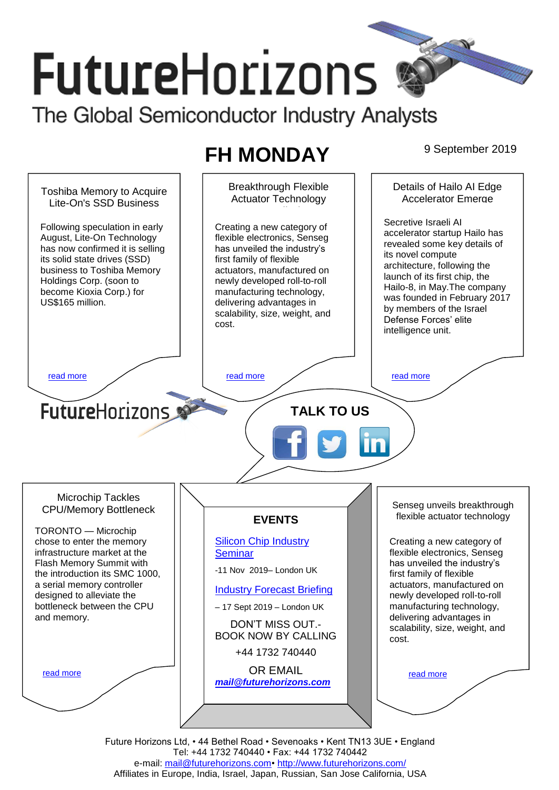# **FutureHorizons** The Global Semiconductor Industry Analysts

# **FH MONDAY** 9 September 2019



Future Horizons Ltd, • 44 Bethel Road • Sevenoaks • Kent TN13 3UE • England Tel: +44 1732 740440 • Fax: +44 1732 740442 e-mail: [mail@futurehorizons.com•](../FH%20Monday%20-%202017/mail@futurehorizons.com)<http://www.futurehorizons.com/> Affiliates in Europe, India, Israel, Japan, Russian, San Jose California, USA